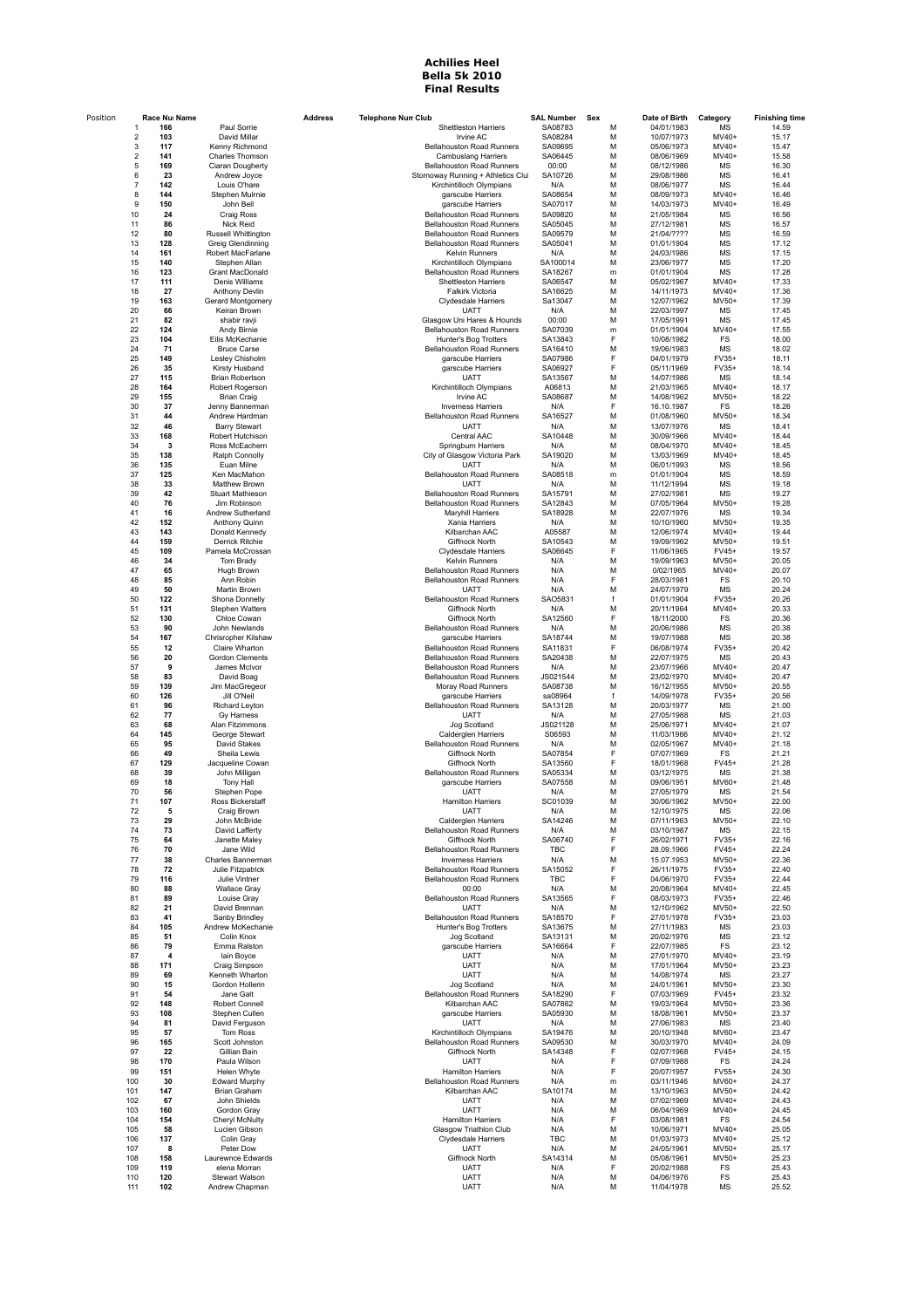## **Achilies Heel Bella 5k 2010 Final Results**

| Position | Race Nui Name                     |                                          | <b>Address</b> | <b>Telephone Nun Club</b>                                      | <b>SAL Number</b>     | Sex    | Date of Birth            | Category          | <b>Finishing time</b> |
|----------|-----------------------------------|------------------------------------------|----------------|----------------------------------------------------------------|-----------------------|--------|--------------------------|-------------------|-----------------------|
|          | 166                               | Paul Sorrie                              |                | <b>Shettleston Harriers</b>                                    | SA08783               | M      | 04/01/1983               | MS                | 14.59                 |
|          | 103<br>$\overline{2}$<br>3<br>117 | David Millar<br>Kenny Richmond           |                | Irvine AC<br>Bellahouston Road Runners                         | SA08284<br>SA09695    | M<br>M | 10/07/1973<br>05/06/1973 | MV40+<br>MV40+    | 15.17<br>15.47        |
|          | $\overline{\mathbf{c}}$<br>141    | Charles Thomson                          |                | <b>Cambuslang Harriers</b>                                     | SA06445               | M      | 08/06/1969               | MV40+             | 15.58                 |
|          | 169<br>5                          | Ciaran Dougherty                         |                | Bellahouston Road Runners                                      | 00:00                 | M      | 08/12/1986               | MS                | 16.30                 |
|          | 23<br>6<br>7<br>142               | Andrew Joyce<br>Louis O'hare             |                | Stornoway Running + Athletics Clul<br>Kirchintilloch Olympians | SA10726<br>N/A        | M<br>M | 29/08/1986<br>08/06/1977 | MS<br>MS          | 16.41<br>16.44        |
|          | 8<br>144                          | Stephen Mulrnie                          |                | garscube Harriers                                              | SA08654               | M      | 08/09/1973               | MV40+             | 16.46                 |
|          | 9<br>150                          | John Bell                                |                | garscube Harriers                                              | SA07017               | M      | 14/03/1973               | MV40+             | 16.49                 |
|          | 10<br>24<br>11<br>86              | <b>Craig Ross</b><br>Nick Reid           |                | Bellahouston Road Runners<br>Bellahouston Road Runners         | SA09820<br>SA05045    | M<br>M | 21/05/1984<br>27/12/1981 | MS<br>MS          | 16.56<br>16.57        |
|          | 12<br>80                          | Russell Whittington                      |                | Bellahouston Road Runners                                      | SA09579               | M      | 21/04/????               | MS                | 16.59                 |
|          | 13<br>128                         | Greig Glendinning                        |                | Bellahouston Road Runners                                      | SA05041               | M      | 01/01/1904               | MS                | 17.12                 |
|          | 14<br>161<br>15<br>140            | Robert MacFarlane<br>Stephen Allan       |                | <b>Kelvin Runners</b><br>Kirchintilloch Olympians              | N/A<br>SA100014       | M<br>M | 24/03/1986<br>23/06/1977 | MS<br><b>MS</b>   | 17.15<br>17.20        |
|          | 16<br>123                         | Grant MacDonald                          |                | Bellahouston Road Runners                                      | SA18267               | m      | 01/01/1904               | MS                | 17.28                 |
|          | 17<br>111                         | Denis Williams                           |                | <b>Shettleston Harriers</b>                                    | SA06547               | M      | 05/02/1967               | MV40+             | 17.33                 |
|          | 18<br>27<br>19<br>163             | Anthony Devlin<br>Gerard Montgomery      |                | Falkirk Victoria<br><b>Clydesdale Harriers</b>                 | SA16625<br>Sa13047    | M<br>M | 14/11/1973<br>12/07/1962 | MV40+<br>MV50+    | 17.36<br>17.39        |
|          | 20<br>66                          | Keiran Brown                             |                | <b>UATT</b>                                                    | N/A                   | M      | 22/03/1997               | MS                | 17.45                 |
|          | 82<br>21                          | shabir ravji                             |                | Glasgow Uni Hares & Hounds                                     | 00:00                 | M      | 17/05/1991               | MS                | 17.45                 |
|          | 22<br>124<br>23<br>104            | Andy Birnie<br>Eilis McKechanie          |                | <b>Bellahouston Road Runners</b><br>Hunter's Bog Trotters      | SA07039<br>SA13843    | m<br>F | 01/01/1904<br>10/08/1982 | MV40+<br>FS       | 17.55<br>18.00        |
|          | 24<br>71                          | <b>Bruce Carse</b>                       |                | <b>Bellahouston Road Runners</b>                               | SA16410               | M      | 19/06/1983               | MS                | 18.02                 |
|          | 25<br>149                         | Lesley Chisholm                          |                | garscube Harriers                                              | SA07986               | F      | 04/01/1979               | FV35+             | 18.11                 |
|          | 26<br>35<br>27<br>115             | Kirsty Husband<br>Brian Robertson        |                | garscube Harriers<br><b>UATT</b>                               | SA06927<br>SA13567    | F<br>M | 05/11/1969<br>14/07/1986 | FV35+<br>MS       | 18.14<br>18.14        |
|          | 28<br>164                         | Robert Rogerson                          |                | Kirchintilloch Olympians                                       | A06813                | M      | 21/03/1965               | MV40+             | 18.17                 |
|          | 29<br>155                         | <b>Brian Craig</b>                       |                | Irvine AC                                                      | SA08687               | M      | 14/08/1962               | MV50+             | 18.22                 |
|          | 30<br>37<br>31<br>44              | Jenny Bannerman<br>Andrew Hardman        |                | <b>Inverness Harriers</b><br>Bellahouston Road Runners         | N/A<br>SA16527        | F<br>M | 16.10.1987<br>01/08/1960 | FS<br>MV50+       | 18.26<br>18.34        |
|          | 32<br>46                          | <b>Barry Stewart</b>                     |                | <b>UATT</b>                                                    | N/A                   | M      | 13/07/1976               | MS                | 18.41                 |
|          | 33<br>168                         | Robert Hutchison                         |                | Central AAC                                                    | SA10448               | M      | 30/09/1966               | MV40+             | 18.44                 |
|          | 34<br>3<br>35<br>138              | Ross McEachern<br>Ralph Connolly         |                | Springburn Harriers<br>City of Glasgow Victoria Park           | N/A<br>SA19020        | M<br>M | 08/04/1970<br>13/03/1969 | MV40+<br>MV40+    | 18.45<br>18.45        |
|          | 36<br>135                         | Euan Milne                               |                | UATT                                                           | N/A                   | M      | 06/01/1993               | MS                | 18.56                 |
|          | 37<br>125                         | Ken MacMahon                             |                | Bellahouston Road Runners                                      | SA08518               | m      | 01/01/1904               | MS                | 18.59                 |
|          | 38<br>33<br>39<br>42              | <b>Matthew Brown</b><br>Stuart Mathieson |                | UATT<br>Bellahouston Road Runners                              | N/A<br>SA15791        | M<br>M | 11/12/1994<br>27/02/1981 | MS<br>MS          | 19.18<br>19.27        |
|          | 40<br>76                          | Jim Robinson                             |                | Bellahouston Road Runners                                      | SA12843               | M      | 07/05/1964               | MV50+             | 19.28                 |
|          | 41<br>16                          | Andrew Sutherland                        |                | Maryhill Harriers                                              | SA18928               | M      | 22/07/1976               | MS                | 19.34                 |
|          | 42<br>152<br>43<br>143            | Anthony Quinn<br>Donald Kennedy          |                | Xania Harriers<br>Kilbarchan AAC                               | N/A<br>A05587         | M<br>M | 10/10/1960<br>12/06/1974 | MV50+<br>MV40+    | 19.35<br>19.44        |
|          | 44<br>159                         | Derrick Ritchie                          |                | Giffnock North                                                 | SA10543               | M      | 19/09/1962               | $MV50+$           | 19.51                 |
|          | 45<br>109                         | Pamela McCrossan                         |                | Clydesdale Harriers                                            | SA06645               | F      | 11/06/1965               | FV45+             | 19.57                 |
|          | 46<br>34<br>47<br>65              | Tom Brady<br>Hugh Brown                  |                | Kelvin Runners<br>Bellahouston Road Runners                    | N/A<br>N/A            | M<br>M | 19/09/1963<br>0/02/1965  | MV50+<br>MV40+    | 20.05<br>20.07        |
|          | 85<br>48                          | Ann Robin                                |                | Bellahouston Road Runners                                      | N/A                   | F      | 28/03/1981               | FS                | 20.10                 |
|          | 49<br>50                          | Martin Brown                             |                | UATT                                                           | N/A                   | M      | 24/07/1979               | MS                | 20.24                 |
|          | 50<br>122<br>51<br>131            | Shona Donnelly<br><b>Stephen Watters</b> |                | Bellahouston Road Runners<br>Giffnock North                    | SA05831<br>N/A        | f<br>M | 01/01/1904<br>20/11/1964 | FV35+<br>MV40+    | 20.26<br>20.33        |
|          | 52<br>130                         | Chloe Cowan                              |                | Giffnock North                                                 | SA12560               | F      | 18/11/2000               | FS                | 20.36                 |
|          | 53<br>90                          | John Newlands                            |                | <b>Bellahouston Road Runners</b>                               | N/A                   | M      | 20/06/1986               | MS                | 20.38                 |
|          | 54<br>167<br>55<br>12             | Chrisropher Kilshaw<br>Claire Wharton    |                | garscube Harriers<br>Bellahouston Road Runners                 | SA18744<br>SA11831    | M<br>F | 19/07/1988<br>06/08/1974 | MS<br>FV35+       | 20.38<br>20.42        |
|          | 56<br>20                          | Gordon Clements                          |                | Bellahouston Road Runners                                      | SA20438               | M      | 22/07/1975               | MS                | 20.43                 |
|          | 57<br>9                           | James McIvor                             |                | Bellahouston Road Runners                                      | N/A                   | M      | 23/07/1966               | MV40+             | 20.47                 |
|          | 58<br>83<br>59<br>139             | David Boag<br>Jim MacGregeor             |                | <b>Bellahouston Road Runners</b><br>Moray Road Runners         | JS021544<br>SA08738   | М<br>М | 23/02/1970<br>16/12/1955 | MV40+<br>MV50+    | 20.47<br>20.55        |
|          | 60<br>126                         | Jill O'Neil                              |                | garscube Harriers                                              | sa08964               | f      | 14/09/1978               | FV35+             | 20.56                 |
|          | 61<br>96                          | Richard Leyton                           |                | <b>Bellahouston Road Runners</b>                               | SA13128               | M      | 20/03/1977               | MS                | 21.00                 |
|          | 62<br>77<br>63<br>68              | Gy Harness<br>Alan Fitzimmons            |                | <b>UATT</b><br>Jog Scotland                                    | N/A<br>JS021128       | M<br>M | 27/05/1988<br>25/06/1971 | MS<br>MV40+       | 21.03<br>21.07        |
|          | 64<br>145                         | George Stewart                           |                | Calderglen Harriers                                            | S06593                | M      | 11/03/1966               | $MV40+$           | 21.12                 |
|          | 65<br>95                          | David Stakes                             |                | Bellahouston Road Runners                                      | N/A                   | M      | 02/05/1967               | MV40+             | 21.18                 |
|          | 66<br>49<br>67<br>129             | Sheila Lewis<br>Jacqueline Cowan         |                | Giffnock North<br>Giffnock North                               | SA07854<br>SA13560    | F<br>F | 07/07/1969<br>18/01/1968 | FS<br>FV45+       | 21.21<br>21.28        |
|          | 68<br>39                          | John Milligan                            |                | <b>Bellahouston Road Runners</b>                               | SA05334               | M      | 03/12/1975               | MS                | 21.38                 |
|          | 69<br>18                          | Tony Hall                                |                | garscube Harriers                                              | SA07558               | M      | 09/06/1951               | MV60+             | 21.48                 |
|          | 70<br>56<br>71<br>107             | Stephen Pope<br>Ross Rickerstaff         |                | <b>UATT</b><br>Hamilton Harriers                               | N/A<br>901039         | M<br>M | 27/05/1979<br>30/06/1962 | MS<br><b>MV50</b> | 21.54<br>22.00        |
|          | 72<br>5                           | Craig Brown                              |                | <b>UATT</b>                                                    | N/A                   | M      | 12/10/1975               | MS                | 22.06                 |
|          | 73<br>29                          | John McBride                             |                | Calderglen Harriers                                            | SA14246               | M      | 07/11/1963               | MV50+             | 22.10                 |
|          | 74<br>73<br>75<br>64              | David Lafferty<br>Janette Maley          |                | Bellahouston Road Runners<br>Giffnock North                    | N/A<br>SA06740        | M<br>F | 03/10/1987<br>26/02/1971 | MS<br>FV35+       | 22.15<br>22.16        |
|          | 76<br>70                          | Jane Wild                                |                | Bellahouston Road Runners                                      | TBC                   | F      | 28.09.1966               | FV45+             | 22.24                 |
|          | 77<br>38                          | Charles Bannerman                        |                | <b>Inverness Harriers</b>                                      | N/A                   | M      | 15.07.1953               | MV50+             | 22.36                 |
|          | 78<br>72<br>79<br>116             | Julie Fitzpatrick<br>Julie Vintner       |                | <b>Bellahouston Road Runners</b><br>Bellahouston Road Runners  | SA15052<br><b>TBC</b> | F<br>F | 26/11/1975<br>04/06/1970 | FV35+<br>FV35+    | 22.40<br>22.44        |
|          | 80<br>88                          | <b>Wallace Gray</b>                      |                | 00:00                                                          | N/A                   | M      | 20/08/1964               | MV40+             | 22.45                 |
|          | 89<br>81                          | Louise Gray                              |                | Bellahouston Road Runners                                      | SA13565               | F      | 08/03/1973               | FV35+             | 22.46                 |
|          | 82<br>21<br>83<br>41              | David Brennan<br>Sanby Brindley          |                | <b>UATT</b><br>Bellahouston Road Runners                       | N/A<br>SA18570        | M<br>F | 12/10/1962<br>27/01/1978 | MV50+<br>FV35+    | 22.50<br>23.03        |
|          | 105<br>84                         | Andrew McKechanie                        |                | Hunter's Bog Trotters                                          | SA13675               | M      | 27/11/1983               | MS                | 23.03                 |
|          | 85<br>51                          | Colin Knox                               |                | Jog Scotland                                                   | SA13131               | M      | 20/02/1976               | MS                | 23.12                 |
|          | 86<br>79<br>87<br>$\overline{4}$  | Emma Ralston<br>lain Boyce               |                | garscube Harriers<br><b>UATT</b>                               | SA16664<br>N/A        | F<br>M | 22/07/1985<br>27/01/1970 | FS<br>MV40+       | 23.12<br>23.19        |
|          | 88<br>171                         | Craig Simpson                            |                | UATT                                                           | N/A                   | M      | 17/01/1964               | MV50+             | 23.23                 |
|          | 89<br>69                          | Kenneth Wharton                          |                | <b>UATT</b>                                                    | N/A                   | M      | 14/08/1974               | MS                | 23.27                 |
|          | 90<br>15<br>91<br>54              | Gordon Hollerin<br>Jane Galt             |                | Jog Scotland<br><b>Bellahouston Road Runners</b>               | N/A<br>SA18290        | M<br>F | 24/01/1961<br>07/03/1969 | MV50+<br>FV45+    | 23.30<br>23.32        |
|          | 92<br>148                         | Robert Connell                           |                | Kilbarchan AAC                                                 | SA07862               | M      | 19/03/1964               | MV50+             | 23.36                 |
|          | 93<br>108                         | Stephen Cullen                           |                | garscube Harriers                                              | SA05930               | M      | 18/08/1961               | $MV50+$           | 23.37                 |
|          | 94<br>81<br>95<br>57              | David Ferguson<br>Tom Ross               |                | <b>UATT</b><br>Kirchintilloch Olympians                        | N/A<br>SA19476        | M<br>M | 27/06/1983<br>20/10/1948 | MS<br>MV60+       | 23.40<br>23.47        |
|          | 96<br>165                         | Scott Johnston                           |                | Bellahouston Road Runners                                      | SA09530               | M      | 30/03/1970               | MV40+             | 24.09                 |
|          | 97<br>22                          | Gillian Bain                             |                | Giffnock North                                                 | SA14348               | F      | 02/07/1968               | FV45+             | 24.15                 |
|          | 98<br>170<br>99<br>151            | Paula Wilson<br>Helen Whyte              |                | <b>UATT</b><br><b>Hamilton Harriers</b>                        | N/A<br>N/A            | F<br>F | 07/09/1988<br>20/07/1957 | FS<br>FV55+       | 24.24<br>24.30        |
|          | 100<br>30                         | <b>Edward Murphy</b>                     |                | <b>Bellahouston Road Runners</b>                               | N/A                   | m      | 03/11/1946               | MV60+             | 24.37                 |
|          | 101<br>147                        | <b>Brian Graham</b>                      |                | Kilbarchan AAC                                                 | SA10174               | M      | 13/10/1963               | MV50+             | 24.42                 |
|          | 102<br>67<br>103<br>160           | John Shields<br>Gordon Gray              |                | <b>UATT</b><br><b>UATT</b>                                     | N/A<br>N/A            | M<br>M | 07/02/1969<br>06/04/1969 | MV40+<br>MV40+    | 24.43<br>24.45        |
|          | 104<br>154                        | Cheryl McNulty                           |                | <b>Hamilton Harriers</b>                                       | N/A                   | F      | 03/08/1981               | FS                | 24.54                 |
|          | 105<br>58                         | Lucien Gibson                            |                | Glasgow Triathlon Club                                         | N/A                   | M      | 10/06/1971               | MV40+             | 25.05                 |
|          | 106<br>137<br>107<br>8            | Colin Gray<br>Peter Dow                  |                | Clydesdale Harriers<br>UATT                                    | TBC<br>N/A            | M<br>M | 01/03/1973<br>24/05/1961 | MV40+<br>MV50+    | 25.12<br>25.17        |
|          | 108<br>158                        | Laurewnce Edwards                        |                | Giffnock North                                                 | SA14314               | M      | 05/08/1961               | MV50+             | 25.23                 |
|          | 109<br>119                        | elena Morran                             |                | <b>UATT</b>                                                    | N/A                   | F      | 20/02/1988               | FS                | 25.43                 |
|          | 110<br>120<br>111<br>102          | Stewart Watson<br>Andrew Chapman         |                | <b>UATT</b><br><b>UATT</b>                                     | N/A<br>N/A            | M<br>M | 04/06/1976<br>11/04/1978 | FS<br>MS          | 25.43<br>25.52        |
|          |                                   |                                          |                |                                                                |                       |        |                          |                   |                       |